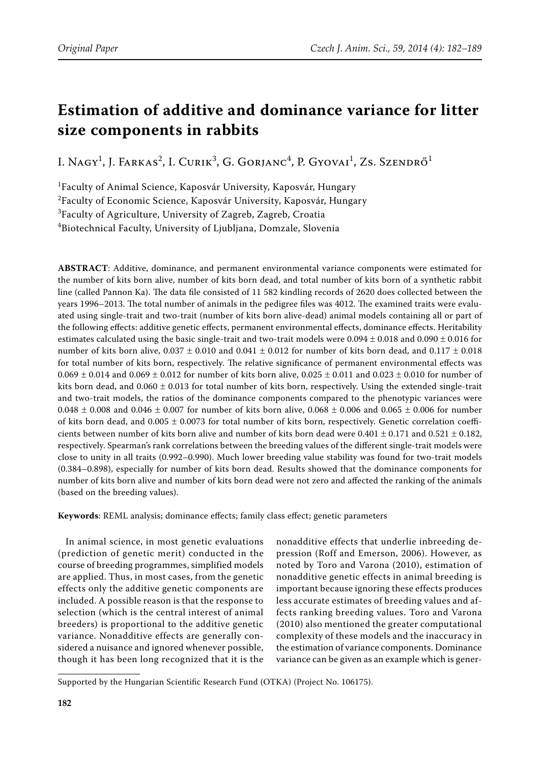# **Estimation of additive and dominance variance for litter size components in rabbits**

I. Nagy<sup>1</sup>, J. Farkas<sup>2</sup>, I. Curik<sup>3</sup>, G. Gorjanc<sup>4</sup>, P. Gyovai<sup>1</sup>, Zs. Szendrő<sup>1</sup>

1 Faculty of Animal Science, Kaposvár University, Kaposvár, Hungary <sup>2</sup>Faculty of Economic Science, Kaposvár University, Kaposvár, Hungary  $^3$ Faculty of Agriculture, University of Zagreb, Zagreb, Croatia 4 Biotechnical Faculty, University of Ljubljana, Domzale, Slovenia

**ABSTRACT**: Additive, dominance, and permanent environmental variance components were estimated for the number of kits born alive, number of kits born dead, and total number of kits born of a synthetic rabbit line (called Pannon Ka). The data file consisted of 11 582 kindling records of 2620 does collected between the years 1996–2013. The total number of animals in the pedigree files was 4012. The examined traits were evaluated using single-trait and two-trait (number of kits born alive-dead) animal models containing all or part of the following effects: additive genetic effects, permanent environmental effects, dominance effects. Heritability estimates calculated using the basic single-trait and two-trait models were  $0.094 \pm 0.018$  and  $0.090 \pm 0.016$  for number of kits born alive,  $0.037 \pm 0.010$  and  $0.041 \pm 0.012$  for number of kits born dead, and  $0.117 \pm 0.018$ for total number of kits born, respectively. The relative significance of permanent environmental effects was  $0.069 \pm 0.014$  and  $0.069 \pm 0.012$  for number of kits born alive,  $0.025 \pm 0.011$  and  $0.023 \pm 0.010$  for number of kits born dead, and  $0.060 \pm 0.013$  for total number of kits born, respectively. Using the extended single-trait and two-trait models, the ratios of the dominance components compared to the phenotypic variances were 0.048  $\pm$  0.008 and 0.046  $\pm$  0.007 for number of kits born alive, 0.068  $\pm$  0.006 and 0.065  $\pm$  0.006 for number of kits born dead, and  $0.005 \pm 0.0073$  for total number of kits born, respectively. Genetic correlation coefficients between number of kits born alive and number of kits born dead were  $0.401 \pm 0.171$  and  $0.521 \pm 0.182$ , respectively. Spearman's rank correlations between the breeding values of the different single-trait models were close to unity in all traits (0.992–0.990). Much lower breeding value stability was found for two-trait models (0.384–0.898), especially for number of kits born dead. Results showed that the dominance components for number of kits born alive and number of kits born dead were not zero and affected the ranking of the animals (based on the breeding values).

**Keywords**: REML analysis; dominance effects; family class effect; genetic parameters

In animal science, in most genetic evaluations (prediction of genetic merit) conducted in the course of breeding programmes, simplified models are applied. Thus, in most cases, from the genetic effects only the additive genetic components are included. A possible reason is that the response to selection (which is the central interest of animal breeders) is proportional to the additive genetic variance. Nonadditive effects are generally considered a nuisance and ignored whenever possible, though it has been long recognized that it is the

nonadditive effects that underlie inbreeding depression (Roff and Emerson, 2006). However, as noted by Toro and Varona (2010), estimation of nonadditive genetic effects in animal breeding is important because ignoring these effects produces less accurate estimates of breeding values and affects ranking breeding values. Toro and Varona (2010) also mentioned the greater computational complexity of these models and the inaccuracy in the estimation of variance components. Dominance variance can be given as an example which is gener-

Supported by the Hungarian Scientific Research Fund (OTKA) (Project No. 106175).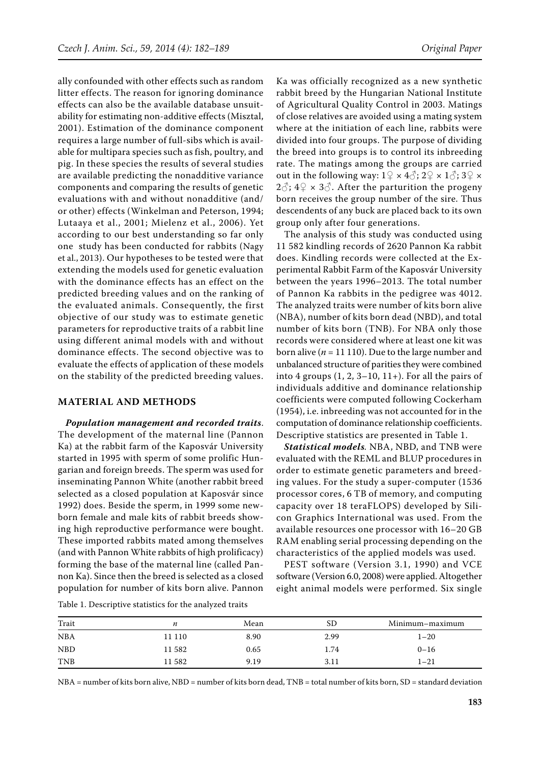ally confounded with other effects such as random litter effects. The reason for ignoring dominance effects can also be the available database unsuitability for estimating non-additive effects (Misztal, 2001). Estimation of the dominance component requires a large number of full-sibs which is available for multipara species such as fish, poultry, and pig. In these species the results of several studies are available predicting the nonadditive variance components and comparing the results of genetic evaluations with and without nonadditive (and/ or other) effects (Winkelman and Peterson, 1994; Lutaaya et al., 2001; Mielenz et al., 2006). Yet according to our best understanding so far only one study has been conducted for rabbits (Nagy et al., 2013). Our hypotheses to be tested were that extending the models used for genetic evaluation with the dominance effects has an effect on the predicted breeding values and on the ranking of the evaluated animals. Consequently, the first objective of our study was to estimate genetic parameters for reproductive traits of a rabbit line using different animal models with and without dominance effects. The second objective was to evaluate the effects of application of these models on the stability of the predicted breeding values.

#### **Material and methods**

*Population management and recorded traits*. The development of the maternal line (Pannon Ka) at the rabbit farm of the Kaposvár University started in 1995 with sperm of some prolific Hungarian and foreign breeds. The sperm was used for inseminating Pannon White (another rabbit breed selected as a closed population at Kaposvár since 1992) does. Beside the sperm, in 1999 some newborn female and male kits of rabbit breeds showing high reproductive performance were bought. These imported rabbits mated among themselves (and with Pannon White rabbits of high prolificacy) forming the base of the maternal line (called Pannon Ka). Since then the breed is selected as a closed population for number of kits born alive. Pannon

Ka was officially recognized as a new synthetic rabbit breed by the Hungarian National Institute of Agricultural Quality Control in 2003. Matings of close relatives are avoided using a mating system where at the initiation of each line, rabbits were divided into four groups. The purpose of dividing the breed into groups is to control its inbreeding rate. The matings among the groups are carried out in the following way:  $1\frac{9}{5} \times 4\frac{3}{5}$ ;  $2\frac{9}{5} \times 1\frac{3}{5}$ ;  $3\frac{9}{5} \times$  $2\hat{\circ}$ ;  $4\hat{+} \times 3\hat{\circ}$ . After the parturition the progeny born receives the group number of the sire. Thus descendents of any buck are placed back to its own group only after four generations.

The analysis of this study was conducted using 11 582 kindling records of 2620 Pannon Ka rabbit does. Kindling records were collected at the Experimental Rabbit Farm of the Kaposvár University between the years 1996–2013. The total number of Pannon Ka rabbits in the pedigree was 4012. The analyzed traits were number of kits born alive (NBA), number of kits born dead (NBD), and total number of kits born (TNB). For NBA only those records were considered where at least one kit was born alive ( $n = 11 110$ ). Due to the large number and unbalanced structure of parities they were combined into 4 groups  $(1, 2, 3-10, 11+)$ . For all the pairs of individuals additive and dominance relationship coefficients were computed following Cockerham (1954), i.e. inbreeding was not accounted for in the computation of dominance relationship coefficients. Descriptive statistics are presented in Table 1.

*Statistical models.* NBA, NBD, and TNB were evaluated with the REML and BLUP procedures in order to estimate genetic parameters and breeding values. For the study a super-computer (1536 processor cores, 6 TB of memory, and computing capacity over 18 teraFLOPS) developed by Silicon Graphics International was used. From the available resources one processor with 16–20 GB RAM enabling serial processing depending on the characteristics of the applied models was used.

PEST software (Version 3.1, 1990) and VCE software (Version 6.0, 2008) were applied. Altogether eight animal models were performed. Six single

|  |  |  | Table 1. Descriptive statistics for the analyzed traits |  |  |  |
|--|--|--|---------------------------------------------------------|--|--|--|
|--|--|--|---------------------------------------------------------|--|--|--|

| Trait      | n      | Mean | SD   | Minimum-maximum |
|------------|--------|------|------|-----------------|
| <b>NBA</b> | 11 110 | 8.90 | 2.99 | $1 - 20$        |
| <b>NBD</b> | 11582  | 0.65 | 1.74 | $0 - 16$        |
| <b>TNB</b> | 11582  | 9.19 | 3.11 | 1–21            |

NBA = number of kits born alive, NBD = number of kits born dead, TNB = total number of kits born, SD = standard deviation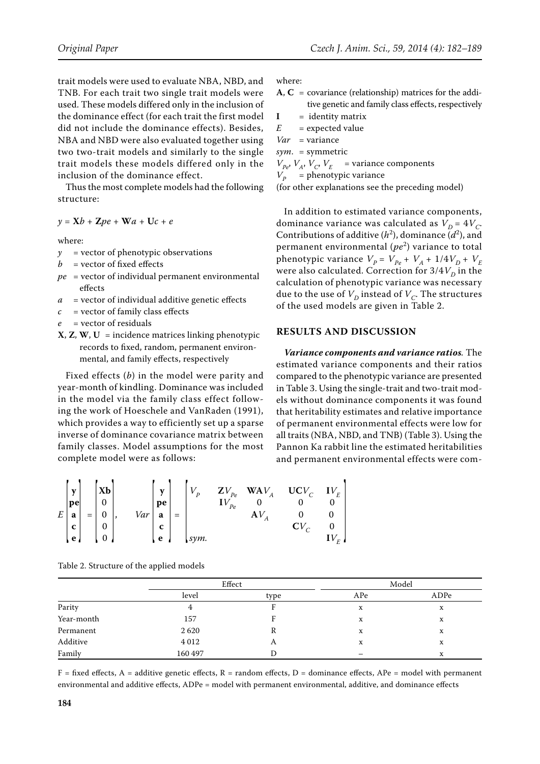trait models were used to evaluate NBA, NBD, and TNB. For each trait two single trait models were used. These models differed only in the inclusion of the dominance effect (for each trait the first model did not include the dominance effects). Besides, NBA and NBD were also evaluated together using two two-trait models and similarly to the single trait models these models differed only in the inclusion of the dominance effect.

Thus the most complete models had the following structure:

$$
y = \mathbf{X}b + \mathbf{Z}pe + \mathbf{W}a + \mathbf{U}c + e
$$

where:

- *y* = vector of phenotypic observations
- $b =$  vector of fixed effects
- *pe* = vector of individual permanent environmental effects
- *a* = vector of individual additive genetic effects
- $c =$  vector of family class effects
- *e* = vector of residuals
- **X**, **Z**, **W**, **U** = incidence matrices linking phenotypic records to fixed, random, permanent environmental, and family effects, respectively

Fixed effects (*b*) in the model were parity and year-month of kindling. Dominance was included in the model via the family class effect following the work of Hoeschele and VanRaden (1991), which provides a way to efficiently set up a sparse inverse of dominance covariance matrix between family classes. Model assumptions for the most complete model were as follows:

where:

 $A, C = covariance (relationship)$  matrices for the additive genetic and family class effects, respectively

 $I = identity matrix$ 

*E* = expected value

*Var* = variance

*sym*. = symmetric

 $V_{Pe}$ ,  $V_A$ ,  $V_C$ ,  $V_E$  = variance components

 $V_p$  = phenotypic variance

(for other explanations see the preceding model)

In addition to estimated variance components, dominance variance was calculated as  $V_D = 4V_C$ . Contributions of additive  $(h^2)$ , dominance  $(d^2)$ , and permanent environmental (*pe*<sup>2</sup> ) variance to total phenotypic variance  $V_P = V_{Pe} + V_A + 1/4V_D + V_E$ were also calculated. Correction for  $3/4V_D$  in the calculation of phenotypic variance was necessary due to the use of  $V_D$  instead of  $V_C$ . The structures of the used models are given in Table 2.

### **Results and discussion**

*Variance components and variance ratios.* The estimated variance components and their ratios compared to the phenotypic variance are presented in Table 3. Using the single-trait and two-trait models without dominance components it was found that heritability estimates and relative importance of permanent environmental effects were low for all traits (NBA, NBD, and TNB) (Table 3). Using the Pannon Ka rabbit line the estimated heritabilities and permanent environmental effects were com-

$$
E\begin{bmatrix} \mathbf{y} \\ \mathbf{pe} \\ \mathbf{a} \\ \mathbf{c} \\ \mathbf{e} \end{bmatrix} = \begin{bmatrix} \mathbf{X}\mathbf{b} \\ 0 \\ 0 \\ 0 \\ 0 \end{bmatrix}, \quad Var\begin{bmatrix} \mathbf{y} \\ \mathbf{pe} \\ \mathbf{a} \\ \mathbf{c} \\ \mathbf{e} \end{bmatrix} = \begin{bmatrix} V_p & ZV_{pe} & WAV_A & UCV_C & IV_E \\ IV_{pe} & 0 & 0 & 0 \\ AV_A & 0 & 0 & 0 \\ SVM & CV_C & 0 & 0 \\ \text{sym.} & IV_E & IV_E \end{bmatrix}
$$

Table 2. Structure of the applied models

|            | Effect  |      | Model |      |  |
|------------|---------|------|-------|------|--|
|            | level   | type | APe   | ADPe |  |
| Parity     |         |      | x     | x    |  |
| Year-month | 157     |      | X     | x    |  |
| Permanent  | 2620    | R    | x     | x    |  |
| Additive   | 4 0 1 2 | A    | X     | X    |  |
| Family     | 160 497 | D    |       | X    |  |

 $F =$  fixed effects, A = additive genetic effects, R = random effects, D = dominance effects, APe = model with permanent environmental and additive effects, ADPe = model with permanent environmental, additive, and dominance effects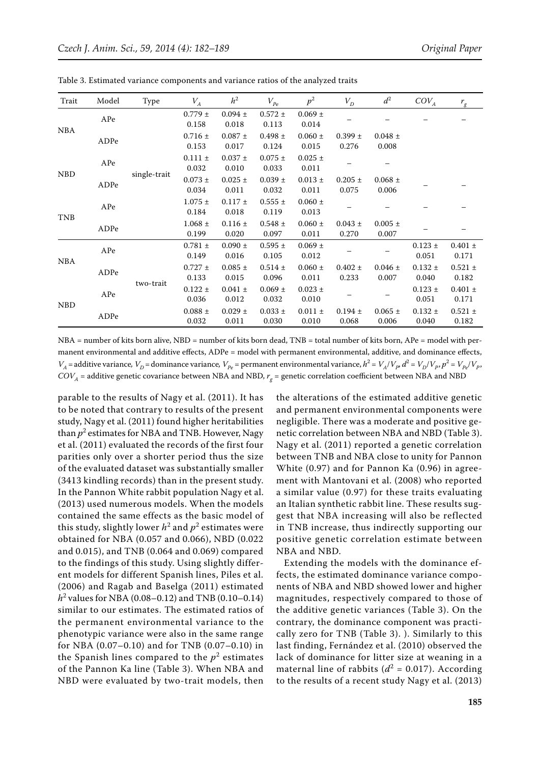| Trait      | Model | Type         | $V_A$                | h <sup>2</sup>       | $V_{pe}$             | $p^2$                  | $V_D$                | $d^2$                | $COV_A$              | $r_{\rm g}$          |
|------------|-------|--------------|----------------------|----------------------|----------------------|------------------------|----------------------|----------------------|----------------------|----------------------|
| <b>NBA</b> | APe   | single-trait | $0.779 \pm$<br>0.158 | $0.094 \pm$<br>0.018 | $0.572 \pm$<br>0.113 | $0.069 \pm$<br>0.014   |                      |                      |                      |                      |
|            | ADPe  |              | $0.716 \pm$<br>0.153 | $0.087 \pm$<br>0.017 | $0.498 \pm$<br>0.124 | $0.060 \pm$<br>0.015   | $0.399 \pm$<br>0.276 | $0.048 \pm$<br>0.008 |                      |                      |
| <b>NBD</b> | APe   |              | $0.111 \pm$<br>0.032 | $0.037 \pm$<br>0.010 | $0.075 \pm$<br>0.033 | $0.025$ $\pm$<br>0.011 |                      |                      |                      |                      |
|            | ADPe  |              | $0.073 \pm$<br>0.034 | $0.025 \pm$<br>0.011 | $0.039 \pm$<br>0.032 | $0.013 \pm$<br>0.011   | $0.205 \pm$<br>0.075 | $0.068 \pm$<br>0.006 |                      |                      |
| <b>TNB</b> | APe   |              | $1.075 \pm$<br>0.184 | $0.117 \pm$<br>0.018 | $0.555 \pm$<br>0.119 | $0.060 \pm$<br>0.013   |                      |                      |                      |                      |
|            | ADPe  |              | $1.068 \pm$<br>0.199 | $0.116 \pm$<br>0.020 | $0.548 \pm$<br>0.097 | $0.060 \pm$<br>0.011   | $0.043 \pm$<br>0.270 | $0.005 \pm$<br>0.007 |                      |                      |
| <b>NBA</b> | APe   | two-trait    | $0.781 \pm$<br>0.149 | $0.090 \pm$<br>0.016 | $0.595 \pm$<br>0.105 | $0.069 \pm$<br>0.012   |                      |                      | $0.123 \pm$<br>0.051 | $0.401 \pm$<br>0.171 |
|            | ADPe  |              | $0.727 \pm$<br>0.133 | $0.085 \pm$<br>0.015 | $0.514 \pm$<br>0.096 | $0.060 \pm$<br>0.011   | $0.402 \pm$<br>0.233 | $0.046 \pm$<br>0.007 | $0.132 \pm$<br>0.040 | $0.521 \pm$<br>0.182 |
| <b>NBD</b> | APe   |              | $0.122 \pm$<br>0.036 | $0.041 \pm$<br>0.012 | $0.069 \pm$<br>0.032 | $0.023 \pm$<br>0.010   |                      |                      | $0.123 \pm$<br>0.051 | $0.401 \pm$<br>0.171 |
|            | ADPe  |              | $0.088 \pm$<br>0.032 | $0.029 \pm$<br>0.011 | $0.033 \pm$<br>0.030 | $0.011 \pm$<br>0.010   | $0.194 \pm$<br>0.068 | $0.065 \pm$<br>0.006 | $0.132 \pm$<br>0.040 | $0.521 \pm$<br>0.182 |

Table 3. Estimated variance components and variance ratios of the analyzed traits

NBA = number of kits born alive, NBD = number of kits born dead, TNB = total number of kits born, APe = model with permanent environmental and additive effects, ADPe = model with permanent environmental, additive, and dominance effects,  $V_A$  = additive variance,  $V_D$  = dominance variance,  $V_{Pe}$  = permanent environmental variance,  $h^2 = V_A/V_{P}$ ,  $d^2 = V_D/V_p$ ,  $p^2 = V_{Pe}/V_p$ ,  $COV<sub>A</sub>$  = additive genetic covariance between NBA and NBD,  $r<sub>a</sub>$  = genetic correlation coefficient between NBA and NBD

parable to the results of Nagy et al. (2011). It has to be noted that contrary to results of the present study, Nagy et al. (2011) found higher heritabilities than  $p^2$  estimates for NBA and TNB. However, Nagy et al. (2011) evaluated the records of the first four parities only over a shorter period thus the size of the evaluated dataset was substantially smaller (3413 kindling records) than in the present study. In the Pannon White rabbit population Nagy et al. (2013) used numerous models. When the models contained the same effects as the basic model of this study, slightly lower  $h^2$  and  $p^2$  estimates were obtained for NBA (0.057 and 0.066), NBD (0.022 and 0.015), and TNB (0.064 and 0.069) compared to the findings of this study. Using slightly different models for different Spanish lines, Piles et al. (2006) and Ragab and Baselga (2011) estimated *h*2 values for NBA (0.08–0.12) and TNB (0.10–0.14) similar to our estimates. The estimated ratios of the permanent environmental variance to the phenotypic variance were also in the same range for NBA (0.07–0.10) and for TNB (0.07–0.10) in the Spanish lines compared to the  $p^2$  estimates of the Pannon Ka line (Table 3). When NBA and NBD were evaluated by two-trait models, then

the alterations of the estimated additive genetic and permanent environmental components were negligible. There was a moderate and positive genetic correlation between NBA and NBD (Table 3). Nagy et al. (2011) reported a genetic correlation between TNB and NBA close to unity for Pannon White (0.97) and for Pannon Ka (0.96) in agreement with Mantovani et al. (2008) who reported a similar value (0.97) for these traits evaluating an Italian synthetic rabbit line. These results suggest that NBA increasing will also be reflected in TNB increase, thus indirectly supporting our positive genetic correlation estimate between NBA and NBD.

Extending the models with the dominance effects, the estimated dominance variance components of NBA and NBD showed lower and higher magnitudes, respectively compared to those of the additive genetic variances (Table 3). On the contrary, the dominance component was practically zero for TNB (Table 3). ). Similarly to this last finding, Fernández et al. (2010) observed the lack of dominance for litter size at weaning in a maternal line of rabbits  $(d^2 = 0.017)$ . According to the results of a recent study Nagy et al. (2013)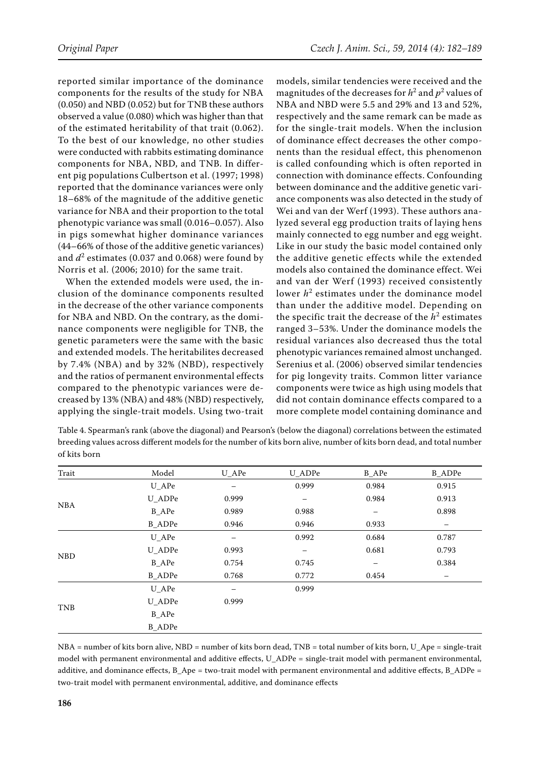reported similar importance of the dominance components for the results of the study for NBA (0.050) and NBD (0.052) but for TNB these authors observed a value (0.080) which was higher than that of the estimated heritability of that trait (0.062). To the best of our knowledge, no other studies were conducted with rabbits estimating dominance components for NBA, NBD, and TNB. In different pig populations Culbertson et al. (1997; 1998) reported that the dominance variances were only 18–68% of the magnitude of the additive genetic variance for NBA and their proportion to the total phenotypic variance was small (0.016–0.057). Also in pigs somewhat higher dominance variances (44–66% of those of the additive genetic variances) and  $d^2$  estimates (0.037 and 0.068) were found by Norris et al. (2006; 2010) for the same trait.

When the extended models were used, the inclusion of the dominance components resulted in the decrease of the other variance components for NBA and NBD. On the contrary, as the dominance components were negligible for TNB, the genetic parameters were the same with the basic and extended models. The heritabilites decreased by 7.4% (NBA) and by 32% (NBD), respectively and the ratios of permanent environmental effects compared to the phenotypic variances were decreased by 13% (NBA) and 48% (NBD) respectively, applying the single-trait models. Using two-trait

models, similar tendencies were received and the magnitudes of the decreases for  $h^2$  and  $p^2$  values of NBA and NBD were 5.5 and 29% and 13 and 52%, respectively and the same remark can be made as for the single-trait models. When the inclusion of dominance effect decreases the other components than the residual effect, this phenomenon is called confounding which is often reported in connection with dominance effects. Confounding between dominance and the additive genetic variance components was also detected in the study of Wei and van der Werf (1993). These authors analyzed several egg production traits of laying hens mainly connected to egg number and egg weight. Like in our study the basic model contained only the additive genetic effects while the extended models also contained the dominance effect. Wei and van der Werf (1993) received consistently lower  $h^2$  estimates under the dominance model than under the additive model. Depending on the specific trait the decrease of the  $h^2$  estimates ranged 3–53%. Under the dominance models the residual variances also decreased thus the total phenotypic variances remained almost unchanged. Serenius et al. (2006) observed similar tendencies for pig longevity traits. Common litter variance components were twice as high using models that did not contain dominance effects compared to a more complete model containing dominance and

Table 4. Spearman's rank (above the diagonal) and Pearson's (below the diagonal) correlations between the estimated breeding values across different models for the number of kits born alive, number of kits born dead, and total number of kits born

| Trait      | Model         | $U_A$ Pe | U_ADPe            | <b>B_APe</b> | <b>B_ADPe</b> |
|------------|---------------|----------|-------------------|--------------|---------------|
|            | $U_A$ Pe      |          | 0.999             | 0.984        | 0.915         |
|            | U_ADPe        | 0.999    | $\qquad \qquad -$ | 0.984        | 0.913         |
| <b>NBA</b> | B_APe         | 0.989    | 0.988             |              | 0.898         |
|            | <b>B</b> ADPe | 0.946    | 0.946             | 0.933        |               |
|            | $U_A$ Pe      | —        | 0.992             | 0.684        | 0.787         |
| <b>NBD</b> | U_ADPe        | 0.993    | -                 | 0.681        | 0.793         |
|            | B_APe         | 0.754    | 0.745             | -            | 0.384         |
|            | <b>B_ADPe</b> | 0.768    | 0.772             | 0.454        | -             |
|            | $U_A$ Pe      | -        | 0.999             |              |               |
| <b>TNB</b> | U_ADPe        | 0.999    |                   |              |               |
|            | B_APe         |          |                   |              |               |
|            | <b>B</b> ADPe |          |                   |              |               |

NBA = number of kits born alive, NBD = number of kits born dead, TNB = total number of kits born, U\_Ape = single-trait model with permanent environmental and additive effects, U\_ADPe = single-trait model with permanent environmental, additive, and dominance effects, B\_Ape = two-trait model with permanent environmental and additive effects, B\_ADPe = two-trait model with permanent environmental, additive, and dominance effects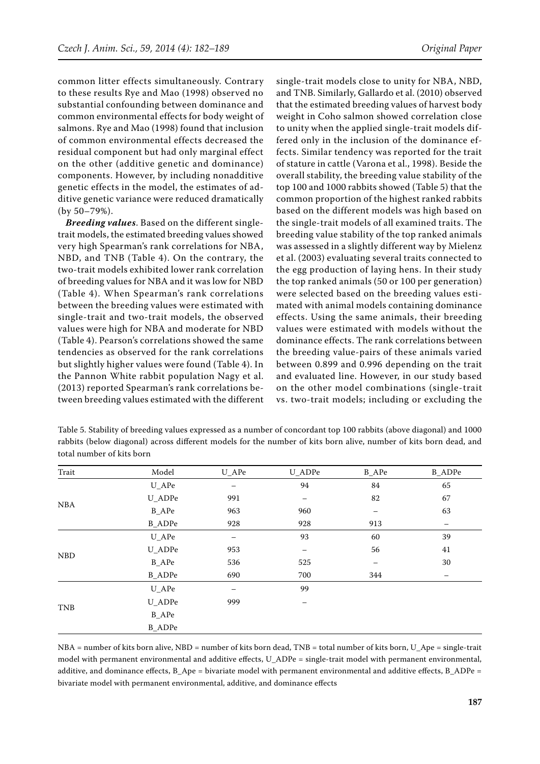common litter effects simultaneously. Contrary to these results Rye and Mao (1998) observed no substantial confounding between dominance and common environmental effects for body weight of salmons. Rye and Mao (1998) found that inclusion of common environmental effects decreased the residual component but had only marginal effect on the other (additive genetic and dominance) components. However, by including nonadditive genetic effects in the model, the estimates of additive genetic variance were reduced dramatically (by 50–79%).

*Breeding values*. Based on the different singletrait models, the estimated breeding values showed very high Spearman's rank correlations for NBA, NBD, and TNB (Table 4). On the contrary, the two-trait models exhibited lower rank correlation of breeding values for NBA and it was low for NBD (Table 4). When Spearman's rank correlations between the breeding values were estimated with single-trait and two-trait models, the observed values were high for NBA and moderate for NBD (Table 4). Pearson's correlations showed the same tendencies as observed for the rank correlations but slightly higher values were found (Table 4). In the Pannon White rabbit population Nagy et al. (2013) reported Spearman's rank correlations between breeding values estimated with the different single-trait models close to unity for NBA, NBD, and TNB. Similarly, Gallardo et al. (2010) observed that the estimated breeding values of harvest body weight in Coho salmon showed correlation close to unity when the applied single-trait models differed only in the inclusion of the dominance effects. Similar tendency was reported for the trait of stature in cattle (Varona et al., 1998). Beside the overall stability, the breeding value stability of the top 100 and 1000 rabbits showed (Table 5) that the common proportion of the highest ranked rabbits based on the different models was high based on the single-trait models of all examined traits. The breeding value stability of the top ranked animals was assessed in a slightly different way by Mielenz et al. (2003) evaluating several traits connected to the egg production of laying hens. In their study the top ranked animals (50 or 100 per generation) were selected based on the breeding values estimated with animal models containing dominance effects. Using the same animals, their breeding values were estimated with models without the dominance effects. The rank correlations between the breeding value-pairs of these animals varied between 0.899 and 0.996 depending on the trait and evaluated line. However, in our study based on the other model combinations (single-trait vs. two-trait models; including or excluding the

Table 5. Stability of breeding values expressed as a number of concordant top 100 rabbits (above diagonal) and 1000 rabbits (below diagonal) across different models for the number of kits born alive, number of kits born dead, and total number of kits born

| Trait      | Model         | $U_A$ Pe | U_ADPe | <b>B_APe</b> | <b>B_ADPe</b>     |
|------------|---------------|----------|--------|--------------|-------------------|
|            | $U_A$ Pe      | —        | 94     | 84           | 65                |
|            | U_ADPe        | 991      | —      | 82           | 67                |
| <b>NBA</b> | <b>B_APe</b>  | 963      | 960    | -            | 63                |
|            | <b>B_ADPe</b> | 928      | 928    | 913          | $\qquad \qquad -$ |
|            | $U_A$ Pe      |          | 93     | 60           | 39                |
| <b>NBD</b> | U_ADPe        | 953      | —      | 56           | 41                |
|            | <b>B_APe</b>  | 536      | 525    | —            | 30                |
|            | <b>B_ADPe</b> | 690      | 700    | 344          |                   |
|            | $U_A$ Pe      | -        | 99     |              |                   |
|            | U_ADPe        | 999      |        |              |                   |
| <b>TNB</b> | <b>B_APe</b>  |          |        |              |                   |
|            | <b>B_ADPe</b> |          |        |              |                   |

NBA = number of kits born alive, NBD = number of kits born dead, TNB = total number of kits born, U\_Ape = single-trait model with permanent environmental and additive effects, U\_ADPe = single-trait model with permanent environmental, additive, and dominance effects, B\_Ape = bivariate model with permanent environmental and additive effects, B\_ADPe = bivariate model with permanent environmental, additive, and dominance effects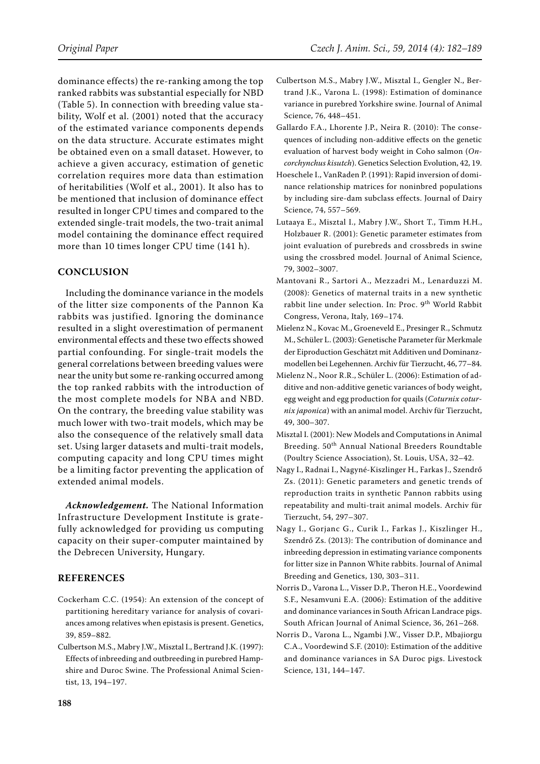dominance effects) the re-ranking among the top ranked rabbits was substantial especially for NBD (Table 5). In connection with breeding value stability, Wolf et al. (2001) noted that the accuracy of the estimated variance components depends on the data structure. Accurate estimates might be obtained even on a small dataset. However, to achieve a given accuracy, estimation of genetic correlation requires more data than estimation of heritabilities (Wolf et al., 2001). It also has to be mentioned that inclusion of dominance effect resulted in longer CPU times and compared to the extended single-trait models, the two-trait animal model containing the dominance effect required

more than 10 times longer CPU time (141 h).

# **Conclusion**

Including the dominance variance in the models of the litter size components of the Pannon Ka rabbits was justified. Ignoring the dominance resulted in a slight overestimation of permanent environmental effects and these two effects showed partial confounding. For single-trait models the general correlations between breeding values were near the unity but some re-ranking occurred among the top ranked rabbits with the introduction of the most complete models for NBA and NBD. On the contrary, the breeding value stability was much lower with two-trait models, which may be also the consequence of the relatively small data set. Using larger datasets and multi-trait models, computing capacity and long CPU times might be a limiting factor preventing the application of extended animal models.

*Acknowledgement.* The National Information Infrastructure Development Institute is gratefully acknowledged for providing us computing capacity on their super-computer maintained by the Debrecen University, Hungary.

## **References**

- Cockerham C.C. (1954): An extension of the concept of partitioning hereditary variance for analysis of covariances among relatives when epistasis is present. Genetics, 39, 859–882.
- Culbertson M.S., Mabry J.W., Misztal I., Bertrand J.K. (1997): Effects of inbreeding and outbreeding in purebred Hampshire and Duroc Swine. The Professional Animal Scientist, 13, 194–197.
- Culbertson M.S., Mabry J.W., Misztal I., Gengler N., Bertrand J.K., Varona L. (1998): Estimation of dominance variance in purebred Yorkshire swine. Journal of Animal Science, 76, 448–451.
- Gallardo F.A., Lhorente J.P., Neira R. (2010): The consequences of including non-additive effects on the genetic evaluation of harvest body weight in Coho salmon (*Oncorchynchus kisutch*). Genetics Selection Evolution, 42, 19.
- Hoeschele I., VanRaden P. (1991): Rapid inversion of dominance relationship matrices for noninbred populations by including sire-dam subclass effects. Journal of Dairy Science, 74, 557–569.
- Lutaaya E., Misztal I., Mabry J.W., Short T., Timm H.H., Holzbauer R. (2001): Genetic parameter estimates from joint evaluation of purebreds and crossbreds in swine using the crossbred model. Journal of Animal Science, 79, 3002–3007.
- Mantovani R., Sartori A., Mezzadri M., Lenarduzzi M. (2008): Genetics of maternal traits in a new synthetic rabbit line under selection. In: Proc. 9<sup>th</sup> World Rabbit Congress, Verona, Italy, 169–174.
- Mielenz N., Kovac M., Groeneveld E., Presinger R., Schmutz M., Schüler L. (2003): Genetische Parameter für Merkmale der Eiproduction Geschätzt mit Additiven und Dominanzmodellen bei Legehennen. Archiv für Tierzucht, 46, 77–84.
- Mielenz N., Noor R.R., Schüler L. (2006): Estimation of additive and non-additive genetic variances of body weight, egg weight and egg production for quails (*Coturnix coturnix japonica*) with an animal model. Archiv für Tierzucht, 49, 300–307.
- Misztal I. (2001): New Models and Computations in Animal Breeding. 50<sup>th</sup> Annual National Breeders Roundtable (Poultry Science Association), St. Louis, USA, 32–42.
- Nagy I., Radnai I., Nagyné-Kiszlinger H., Farkas J., Szendrő Zs. (2011): Genetic parameters and genetic trends of reproduction traits in synthetic Pannon rabbits using repeatability and multi-trait animal models. Archiv für Tierzucht, 54, 297–307.
- Nagy I., Gorjanc G., Curik I., Farkas J., Kiszlinger H., Szendrő Zs. (2013): The contribution of dominance and inbreeding depression in estimating variance components for litter size in Pannon White rabbits. Journal of Animal Breeding and Genetics, 130, 303–311.
- Norris D., Varona L., Visser D.P., Theron H.E., Voordewind S.F., Nesamvuni E.A. (2006): Estimation of the additive and dominance variances in South African Landrace pigs. South African Journal of Animal Science, 36, 261–268.
- Norris D., Varona L., Ngambi J.W., Visser D.P., Mbajiorgu C.A., Voordewind S.F. (2010): Estimation of the additive and dominance variances in SA Duroc pigs. Livestock Science, 131, 144–147.